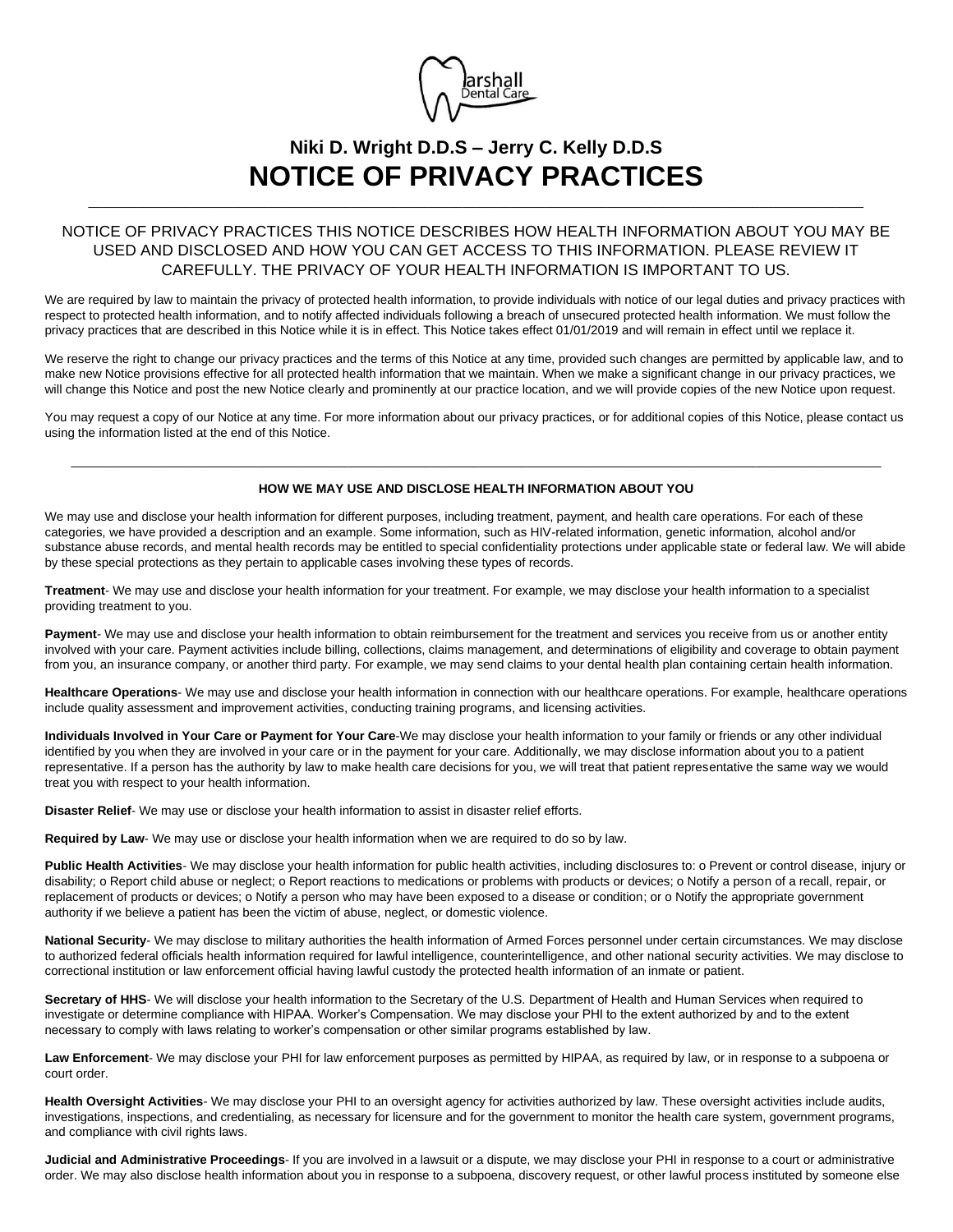

## **Niki D. Wright D.D.S – Jerry C. Kelly D.D.S NOTICE OF PRIVACY PRACTICES**

\_\_\_\_\_\_\_\_\_\_\_\_\_\_\_\_\_\_\_\_\_\_\_\_\_\_\_\_\_\_\_\_\_\_\_\_\_\_\_\_\_\_\_\_\_\_\_\_\_\_\_\_\_\_\_\_\_\_\_\_\_\_\_\_\_\_\_\_\_\_\_\_\_\_\_\_\_\_\_\_\_\_\_\_\_\_\_\_\_\_\_\_\_\_\_\_\_\_\_\_\_\_\_\_\_\_\_\_\_\_\_\_

## NOTICE OF PRIVACY PRACTICES THIS NOTICE DESCRIBES HOW HEALTH INFORMATION ABOUT YOU MAY BE USED AND DISCLOSED AND HOW YOU CAN GET ACCESS TO THIS INFORMATION. PLEASE REVIEW IT CAREFULLY. THE PRIVACY OF YOUR HEALTH INFORMATION IS IMPORTANT TO US.

We are required by law to maintain the privacy of protected health information, to provide individuals with notice of our legal duties and privacy practices with respect to protected health information, and to notify affected individuals following a breach of unsecured protected health information. We must follow the privacy practices that are described in this Notice while it is in effect. This Notice takes effect 01/01/2019 and will remain in effect until we replace it.

We reserve the right to change our privacy practices and the terms of this Notice at any time, provided such changes are permitted by applicable law, and to make new Notice provisions effective for all protected health information that we maintain. When we make a significant change in our privacy practices, we will change this Notice and post the new Notice clearly and prominently at our practice location, and we will provide copies of the new Notice upon request.

You may request a copy of our Notice at any time. For more information about our privacy practices, or for additional copies of this Notice, please contact us using the information listed at the end of this Notice.

## $\_$  , and the set of the set of the set of the set of the set of the set of the set of the set of the set of the set of the set of the set of the set of the set of the set of the set of the set of the set of the set of th **HOW WE MAY USE AND DISCLOSE HEALTH INFORMATION ABOUT YOU**

We may use and disclose your health information for different purposes, including treatment, payment, and health care operations. For each of these categories, we have provided a description and an example. Some information, such as HIV-related information, genetic information, alcohol and/or substance abuse records, and mental health records may be entitled to special confidentiality protections under applicable state or federal law. We will abide by these special protections as they pertain to applicable cases involving these types of records.

**Treatment**- We may use and disclose your health information for your treatment. For example, we may disclose your health information to a specialist providing treatment to you.

Payment- We may use and disclose your health information to obtain reimbursement for the treatment and services you receive from us or another entity involved with your care. Payment activities include billing, collections, claims management, and determinations of eligibility and coverage to obtain payment from you, an insurance company, or another third party. For example, we may send claims to your dental health plan containing certain health information.

**Healthcare Operations**- We may use and disclose your health information in connection with our healthcare operations. For example, healthcare operations include quality assessment and improvement activities, conducting training programs, and licensing activities.

**Individuals Involved in Your Care or Payment for Your Care**-We may disclose your health information to your family or friends or any other individual identified by you when they are involved in your care or in the payment for your care. Additionally, we may disclose information about you to a patient representative. If a person has the authority by law to make health care decisions for you, we will treat that patient representative the same way we would treat you with respect to your health information.

**Disaster Relief**- We may use or disclose your health information to assist in disaster relief efforts.

**Required by Law**- We may use or disclose your health information when we are required to do so by law.

**Public Health Activities**- We may disclose your health information for public health activities, including disclosures to: o Prevent or control disease, injury or disability; o Report child abuse or neglect; o Report reactions to medications or problems with products or devices; o Notify a person of a recall, repair, or replacement of products or devices; o Notify a person who may have been exposed to a disease or condition; or o Notify the appropriate government authority if we believe a patient has been the victim of abuse, neglect, or domestic violence.

**National Security**- We may disclose to military authorities the health information of Armed Forces personnel under certain circumstances. We may disclose to authorized federal officials health information required for lawful intelligence, counterintelligence, and other national security activities. We may disclose to correctional institution or law enforcement official having lawful custody the protected health information of an inmate or patient.

Secretary of HHS- We will disclose your health information to the Secretary of the U.S. Department of Health and Human Services when required to investigate or determine compliance with HIPAA. Worker's Compensation. We may disclose your PHI to the extent authorized by and to the extent necessary to comply with laws relating to worker's compensation or other similar programs established by law.

**Law Enforcement**- We may disclose your PHI for law enforcement purposes as permitted by HIPAA, as required by law, or in response to a subpoena or court order.

**Health Oversight Activities**- We may disclose your PHI to an oversight agency for activities authorized by law. These oversight activities include audits, investigations, inspections, and credentialing, as necessary for licensure and for the government to monitor the health care system, government programs, and compliance with civil rights laws.

**Judicial and Administrative Proceedings**- If you are involved in a lawsuit or a dispute, we may disclose your PHI in response to a court or administrative order. We may also disclose health information about you in response to a subpoena, discovery request, or other lawful process instituted by someone else